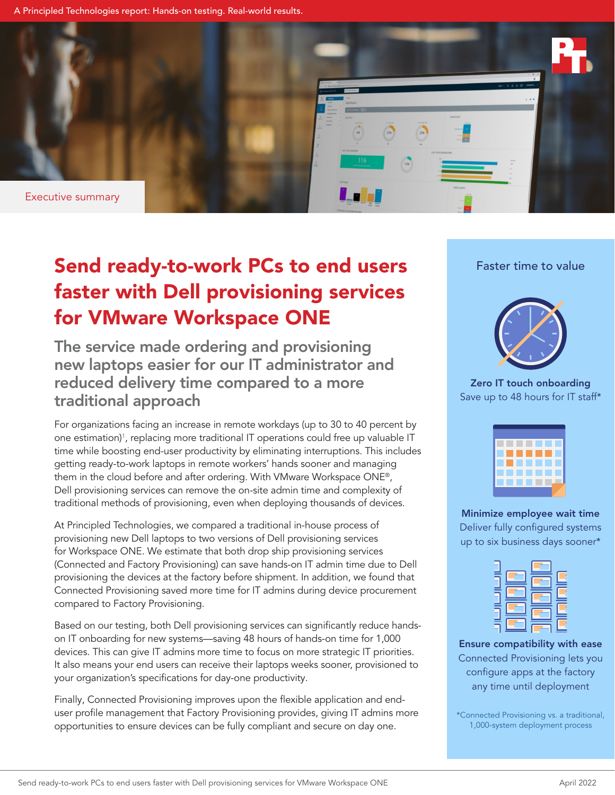A Principled Technologies report: Hands-on testing. Real-world results.



# Send ready-to-work PCs to end users faster with Dell provisioning services for VMware Workspace ONE

The service made ordering and provisioning new laptops easier for our IT administrator and reduced delivery time compared to a more traditional approach

For organizations facing an increase in remote workdays (up to 30 to 40 percent by one estimation)<sup>1</sup>, replacing more traditional IT operations could free up valuable IT time while boosting end-user productivity by eliminating interruptions. This includes getting ready-to-work laptops in remote workers' hands sooner and managing them in the cloud before and after ordering. With VMware Workspace ONE®, Dell provisioning services can remove the on-site admin time and complexity of traditional methods of provisioning, even when deploying thousands of devices.

At Principled Technologies, we compared a traditional in-house process of provisioning new Dell laptops to two versions of Dell provisioning services for Workspace ONE. We estimate that both drop ship provisioning services (Connected and Factory Provisioning) can save hands-on IT admin time due to Dell provisioning the devices at the factory before shipment. In addition, we found that Connected Provisioning saved more time for IT admins during device procurement compared to Factory Provisioning.

Based on our testing, both Dell provisioning services can significantly reduce handson IT onboarding for new systems—saving 48 hours of hands-on time for 1,000 devices. This can give IT admins more time to focus on more strategic IT priorities. It also means your end users can receive their laptops weeks sooner, provisioned to your organization's specifications for day-one productivity.

Finally, Connected Provisioning improves upon the flexible application and enduser profile management that Factory Provisioning provides, giving IT admins more opportunities to ensure devices can be fully compliant and secure on day one.

## Faster time to value



Zero IT touch onboarding Save up to 48 hours for IT staff\*



Minimize employee wait time Deliver fully configured systems up to six business days sooner\*



Ensure compatibility with ease Connected Provisioning lets you configure apps at the factory any time until deployment

\*Connected Provisioning vs. a traditional, 1,000-system deployment process